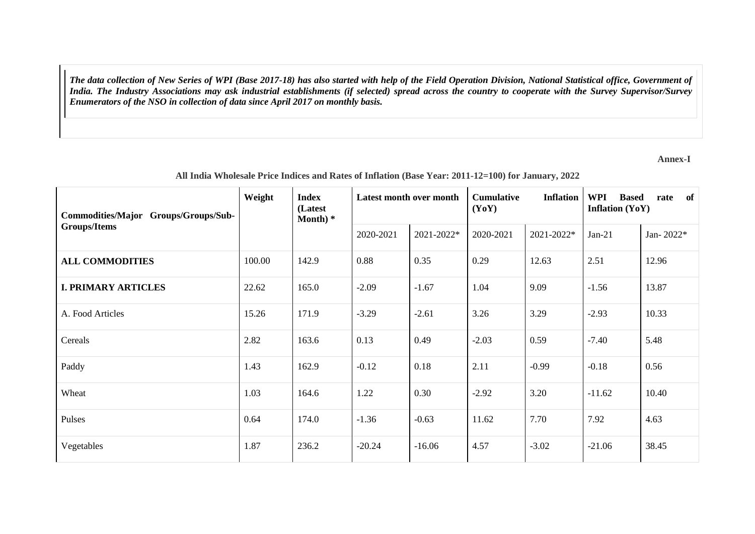*The data collection of New Series of WPI (Base 2017-18) has also started with help of the Field Operation Division, National Statistical office, Government of India. The Industry Associations may ask industrial establishments (if selected) spread across the country to cooperate with the Survey Supervisor/Survey Enumerators of the NSO in collection of data since April 2017 on monthly basis.*

**Annex-I**

| Commodities/Major Groups/Groups/Sub- | Weight<br><b>Index</b><br>(Latest<br>Month $)*$ |       | Latest month over month |            | <b>Cumulative</b><br><b>Inflation</b><br>(YoY) |            | <b>WPI</b><br>of<br><b>Based</b><br>rate<br><b>Inflation (YoY)</b> |           |
|--------------------------------------|-------------------------------------------------|-------|-------------------------|------------|------------------------------------------------|------------|--------------------------------------------------------------------|-----------|
| Groups/Items                         |                                                 |       | 2020-2021               | 2021-2022* | 2020-2021                                      | 2021-2022* | $Jan-21$                                                           | Jan-2022* |
| <b>ALL COMMODITIES</b>               | 100.00                                          | 142.9 | 0.88                    | 0.35       | 0.29                                           | 12.63      | 2.51                                                               | 12.96     |
| <b>I. PRIMARY ARTICLES</b>           | 22.62                                           | 165.0 | $-2.09$                 | $-1.67$    | 1.04                                           | 9.09       | $-1.56$                                                            | 13.87     |
| A. Food Articles                     | 15.26                                           | 171.9 | $-3.29$                 | $-2.61$    | 3.26                                           | 3.29       | $-2.93$                                                            | 10.33     |
| Cereals                              | 2.82                                            | 163.6 | 0.13                    | 0.49       | $-2.03$                                        | 0.59       | $-7.40$                                                            | 5.48      |
| Paddy                                | 1.43                                            | 162.9 | $-0.12$                 | 0.18       | 2.11                                           | $-0.99$    | $-0.18$                                                            | 0.56      |
| Wheat                                | 1.03                                            | 164.6 | 1.22                    | 0.30       | $-2.92$                                        | 3.20       | $-11.62$                                                           | 10.40     |
| Pulses                               | 0.64                                            | 174.0 | $-1.36$                 | $-0.63$    | 11.62                                          | 7.70       | 7.92                                                               | 4.63      |
| Vegetables                           | 1.87                                            | 236.2 | $-20.24$                | $-16.06$   | 4.57                                           | $-3.02$    | $-21.06$                                                           | 38.45     |

## **All India Wholesale Price Indices and Rates of Inflation (Base Year: 2011-12=100) for January, 2022**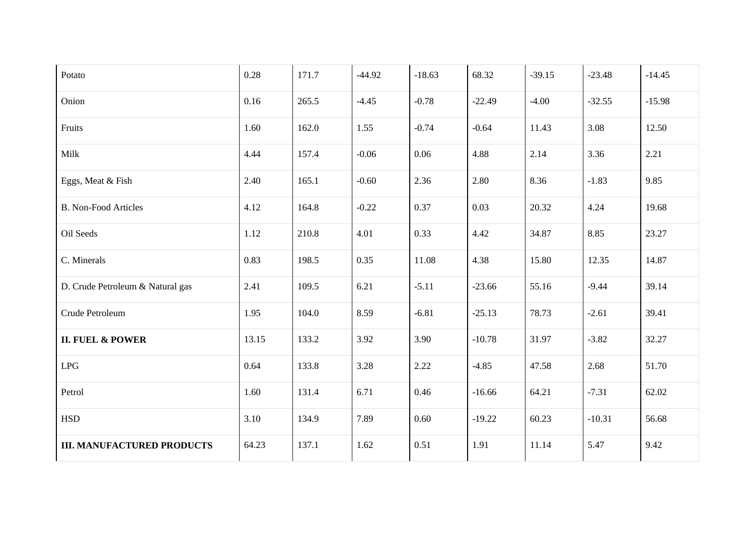| Potato                            | 0.28  | 171.7 | $-44.92$ | $-18.63$ | 68.32    | $-39.15$ | $-23.48$ | $-14.45$ |
|-----------------------------------|-------|-------|----------|----------|----------|----------|----------|----------|
| Onion                             | 0.16  | 265.5 | $-4.45$  | $-0.78$  | $-22.49$ | $-4.00$  | $-32.55$ | $-15.98$ |
| Fruits                            | 1.60  | 162.0 | 1.55     | $-0.74$  | $-0.64$  | 11.43    | 3.08     | 12.50    |
| Milk                              | 4.44  | 157.4 | $-0.06$  | 0.06     | 4.88     | 2.14     | 3.36     | 2.21     |
| Eggs, Meat & Fish                 | 2.40  | 165.1 | $-0.60$  | 2.36     | 2.80     | 8.36     | $-1.83$  | 9.85     |
| <b>B. Non-Food Articles</b>       | 4.12  | 164.8 | $-0.22$  | 0.37     | 0.03     | 20.32    | 4.24     | 19.68    |
| Oil Seeds                         | 1.12  | 210.8 | 4.01     | 0.33     | 4.42     | 34.87    | 8.85     | 23.27    |
| C. Minerals                       | 0.83  | 198.5 | 0.35     | 11.08    | 4.38     | 15.80    | 12.35    | 14.87    |
| D. Crude Petroleum & Natural gas  | 2.41  | 109.5 | 6.21     | $-5.11$  | $-23.66$ | 55.16    | $-9.44$  | 39.14    |
| Crude Petroleum                   | 1.95  | 104.0 | 8.59     | $-6.81$  | $-25.13$ | 78.73    | $-2.61$  | 39.41    |
| <b>II. FUEL &amp; POWER</b>       | 13.15 | 133.2 | 3.92     | 3.90     | $-10.78$ | 31.97    | $-3.82$  | 32.27    |
| LPG                               | 0.64  | 133.8 | 3.28     | 2.22     | $-4.85$  | 47.58    | 2.68     | 51.70    |
| Petrol                            | 1.60  | 131.4 | 6.71     | 0.46     | $-16.66$ | 64.21    | $-7.31$  | 62.02    |
| <b>HSD</b>                        | 3.10  | 134.9 | 7.89     | 0.60     | $-19.22$ | 60.23    | $-10.31$ | 56.68    |
| <b>III. MANUFACTURED PRODUCTS</b> | 64.23 | 137.1 | 1.62     | 0.51     | 1.91     | 11.14    | 5.47     | 9.42     |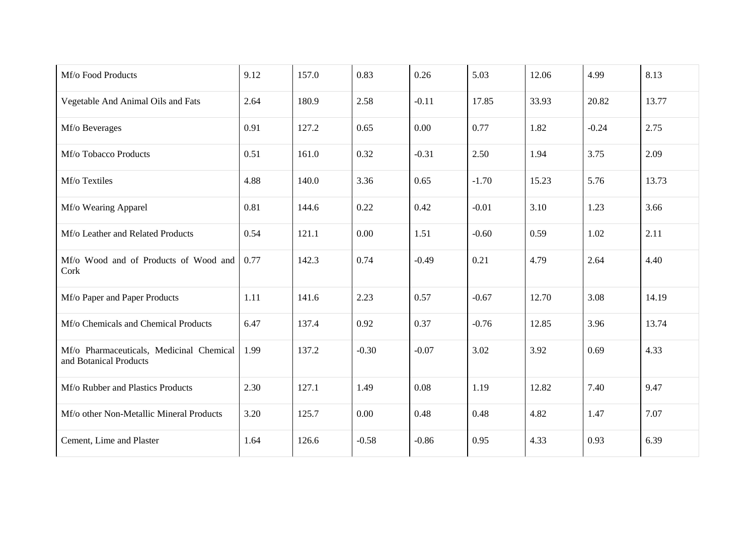| Mf/o Food Products                                                 | 9.12 | 157.0 | 0.83    | 0.26    | 5.03    | 12.06 | 4.99    | 8.13  |
|--------------------------------------------------------------------|------|-------|---------|---------|---------|-------|---------|-------|
| Vegetable And Animal Oils and Fats                                 | 2.64 | 180.9 | 2.58    | $-0.11$ | 17.85   | 33.93 | 20.82   | 13.77 |
| Mf/o Beverages                                                     | 0.91 | 127.2 | 0.65    | 0.00    | 0.77    | 1.82  | $-0.24$ | 2.75  |
| Mf/o Tobacco Products                                              | 0.51 | 161.0 | 0.32    | $-0.31$ | 2.50    | 1.94  | 3.75    | 2.09  |
| Mf/o Textiles                                                      | 4.88 | 140.0 | 3.36    | 0.65    | $-1.70$ | 15.23 | 5.76    | 13.73 |
| Mf/o Wearing Apparel                                               | 0.81 | 144.6 | 0.22    | 0.42    | $-0.01$ | 3.10  | 1.23    | 3.66  |
| Mf/o Leather and Related Products                                  | 0.54 | 121.1 | 0.00    | 1.51    | $-0.60$ | 0.59  | 1.02    | 2.11  |
| Mf/o Wood and of Products of Wood and<br>Cork                      | 0.77 | 142.3 | 0.74    | $-0.49$ | 0.21    | 4.79  | 2.64    | 4.40  |
| Mf/o Paper and Paper Products                                      | 1.11 | 141.6 | 2.23    | 0.57    | $-0.67$ | 12.70 | 3.08    | 14.19 |
| Mf/o Chemicals and Chemical Products                               | 6.47 | 137.4 | 0.92    | 0.37    | $-0.76$ | 12.85 | 3.96    | 13.74 |
| Mf/o Pharmaceuticals, Medicinal Chemical<br>and Botanical Products | 1.99 | 137.2 | $-0.30$ | $-0.07$ | 3.02    | 3.92  | 0.69    | 4.33  |
| Mf/o Rubber and Plastics Products                                  | 2.30 | 127.1 | 1.49    | 0.08    | 1.19    | 12.82 | 7.40    | 9.47  |
| Mf/o other Non-Metallic Mineral Products                           | 3.20 | 125.7 | 0.00    | 0.48    | 0.48    | 4.82  | 1.47    | 7.07  |
| Cement, Lime and Plaster                                           | 1.64 | 126.6 | $-0.58$ | $-0.86$ | 0.95    | 4.33  | 0.93    | 6.39  |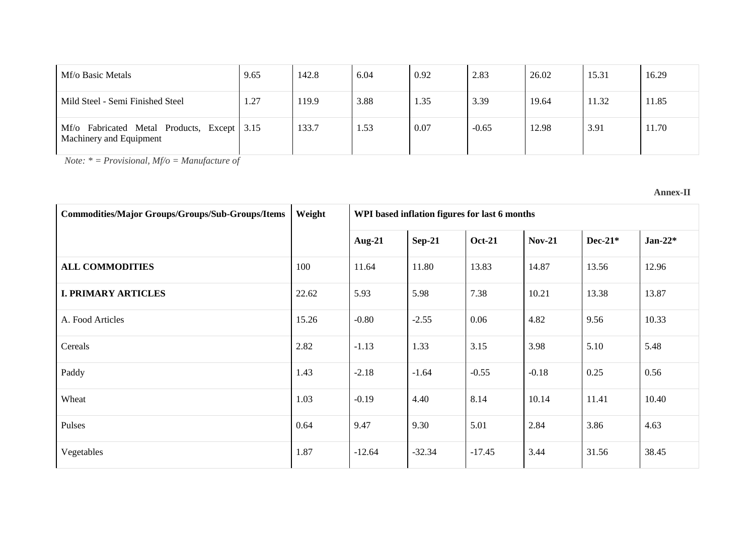| Mf/o Basic Metals                                                         | 9.65 | 142.8 | 6.04 | 0.92 | 2.83    | 26.02 | 15.31 | 16.29 |
|---------------------------------------------------------------------------|------|-------|------|------|---------|-------|-------|-------|
| Mild Steel - Semi Finished Steel                                          | 1.27 | 119.9 | 3.88 | 1.35 | 3.39    | 19.64 | 11.32 | 11.85 |
| Mf/o<br>Fabricated Metal Products, Except 3.15<br>Machinery and Equipment |      | 133.7 | 1.53 | 0.07 | $-0.65$ | 12.98 | 3.91  | 11.70 |

*Note: \* = Provisional, Mf/o = Manufacture of*

**Annex-II**

| <b>Commodities/Major Groups/Groups/Sub-Groups/Items</b> | Weight |           |          | WPI based inflation figures for last 6 months |               |           |            |
|---------------------------------------------------------|--------|-----------|----------|-----------------------------------------------|---------------|-----------|------------|
|                                                         |        | Aug- $21$ | $Sep-21$ | <b>Oct-21</b>                                 | <b>Nov-21</b> | $Dec-21*$ | Jan-22 $*$ |
| <b>ALL COMMODITIES</b>                                  | 100    | 11.64     | 11.80    | 13.83                                         | 14.87         | 13.56     | 12.96      |
| <b>I. PRIMARY ARTICLES</b>                              | 22.62  | 5.93      | 5.98     | 7.38                                          | 10.21         | 13.38     | 13.87      |
| A. Food Articles                                        | 15.26  | $-0.80$   | $-2.55$  | 0.06                                          | 4.82          | 9.56      | 10.33      |
| Cereals                                                 | 2.82   | $-1.13$   | 1.33     | 3.15                                          | 3.98          | 5.10      | 5.48       |
| Paddy                                                   | 1.43   | $-2.18$   | $-1.64$  | $-0.55$                                       | $-0.18$       | 0.25      | 0.56       |
| Wheat                                                   | 1.03   | $-0.19$   | 4.40     | 8.14                                          | 10.14         | 11.41     | 10.40      |
| Pulses                                                  | 0.64   | 9.47      | 9.30     | 5.01                                          | 2.84          | 3.86      | 4.63       |
| Vegetables                                              | 1.87   | $-12.64$  | $-32.34$ | $-17.45$                                      | 3.44          | 31.56     | 38.45      |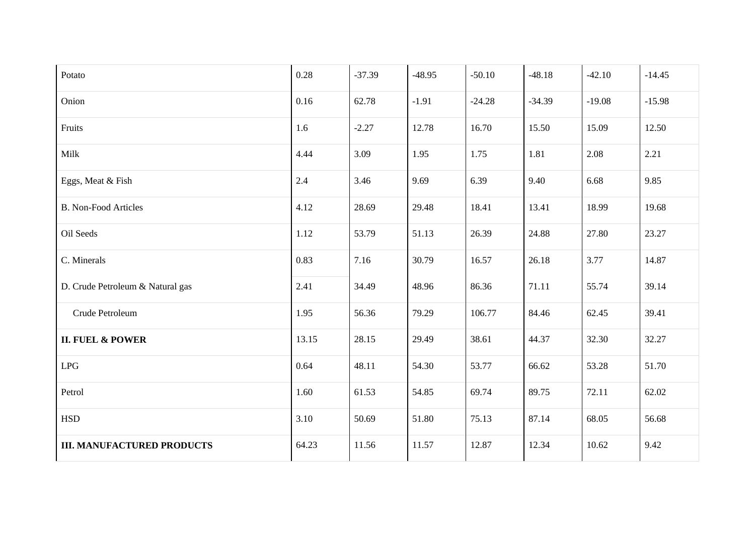| Potato                            | 0.28  | $-37.39$ | $-48.95$ | $-50.10$ | $-48.18$ | $-42.10$ | $-14.45$ |
|-----------------------------------|-------|----------|----------|----------|----------|----------|----------|
| Onion                             | 0.16  | 62.78    | $-1.91$  | $-24.28$ | $-34.39$ | $-19.08$ | $-15.98$ |
| Fruits                            | 1.6   | $-2.27$  | 12.78    | 16.70    | 15.50    | 15.09    | 12.50    |
| Milk                              | 4.44  | 3.09     | 1.95     | 1.75     | 1.81     | 2.08     | 2.21     |
| Eggs, Meat & Fish                 | 2.4   | 3.46     | 9.69     | 6.39     | 9.40     | 6.68     | 9.85     |
| <b>B. Non-Food Articles</b>       | 4.12  | 28.69    | 29.48    | 18.41    | 13.41    | 18.99    | 19.68    |
| Oil Seeds                         | 1.12  | 53.79    | 51.13    | 26.39    | 24.88    | 27.80    | 23.27    |
| C. Minerals                       | 0.83  | 7.16     | 30.79    | 16.57    | 26.18    | 3.77     | 14.87    |
| D. Crude Petroleum & Natural gas  | 2.41  | 34.49    | 48.96    | 86.36    | 71.11    | 55.74    | 39.14    |
| Crude Petroleum                   | 1.95  | 56.36    | 79.29    | 106.77   | 84.46    | 62.45    | 39.41    |
| <b>II. FUEL &amp; POWER</b>       | 13.15 | 28.15    | 29.49    | 38.61    | 44.37    | 32.30    | 32.27    |
| LPG                               | 0.64  | 48.11    | 54.30    | 53.77    | 66.62    | 53.28    | 51.70    |
| Petrol                            | 1.60  | 61.53    | 54.85    | 69.74    | 89.75    | 72.11    | 62.02    |
| <b>HSD</b>                        | 3.10  | 50.69    | 51.80    | 75.13    | 87.14    | 68.05    | 56.68    |
| <b>III. MANUFACTURED PRODUCTS</b> | 64.23 | 11.56    | 11.57    | 12.87    | 12.34    | 10.62    | 9.42     |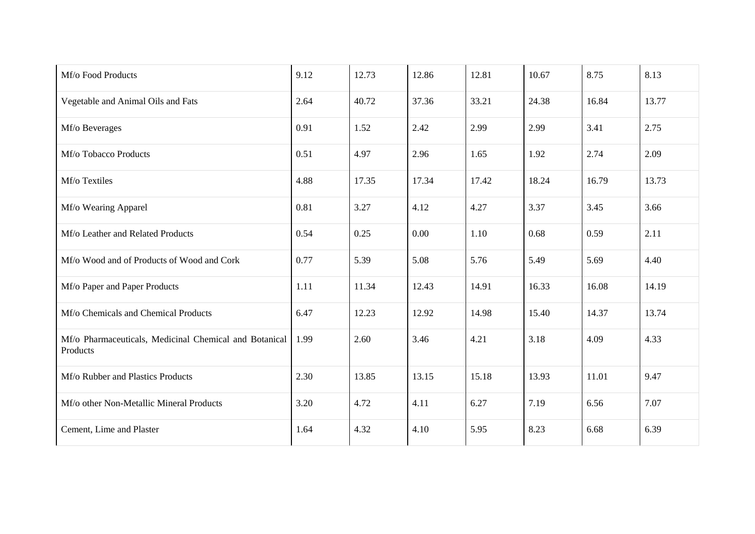| Mf/o Food Products                                                 | 9.12 | 12.73 | 12.86 | 12.81 | 10.67 | 8.75  | 8.13  |
|--------------------------------------------------------------------|------|-------|-------|-------|-------|-------|-------|
| Vegetable and Animal Oils and Fats                                 | 2.64 | 40.72 | 37.36 | 33.21 | 24.38 | 16.84 | 13.77 |
| Mf/o Beverages                                                     | 0.91 | 1.52  | 2.42  | 2.99  | 2.99  | 3.41  | 2.75  |
| Mf/o Tobacco Products                                              | 0.51 | 4.97  | 2.96  | 1.65  | 1.92  | 2.74  | 2.09  |
| Mf/o Textiles                                                      | 4.88 | 17.35 | 17.34 | 17.42 | 18.24 | 16.79 | 13.73 |
| Mf/o Wearing Apparel                                               | 0.81 | 3.27  | 4.12  | 4.27  | 3.37  | 3.45  | 3.66  |
| Mf/o Leather and Related Products                                  | 0.54 | 0.25  | 0.00  | 1.10  | 0.68  | 0.59  | 2.11  |
| Mf/o Wood and of Products of Wood and Cork                         | 0.77 | 5.39  | 5.08  | 5.76  | 5.49  | 5.69  | 4.40  |
| Mf/o Paper and Paper Products                                      | 1.11 | 11.34 | 12.43 | 14.91 | 16.33 | 16.08 | 14.19 |
| Mf/o Chemicals and Chemical Products                               | 6.47 | 12.23 | 12.92 | 14.98 | 15.40 | 14.37 | 13.74 |
| Mf/o Pharmaceuticals, Medicinal Chemical and Botanical<br>Products | 1.99 | 2.60  | 3.46  | 4.21  | 3.18  | 4.09  | 4.33  |
| Mf/o Rubber and Plastics Products                                  | 2.30 | 13.85 | 13.15 | 15.18 | 13.93 | 11.01 | 9.47  |
| Mf/o other Non-Metallic Mineral Products                           | 3.20 | 4.72  | 4.11  | 6.27  | 7.19  | 6.56  | 7.07  |
| Cement, Lime and Plaster                                           | 1.64 | 4.32  | 4.10  | 5.95  | 8.23  | 6.68  | 6.39  |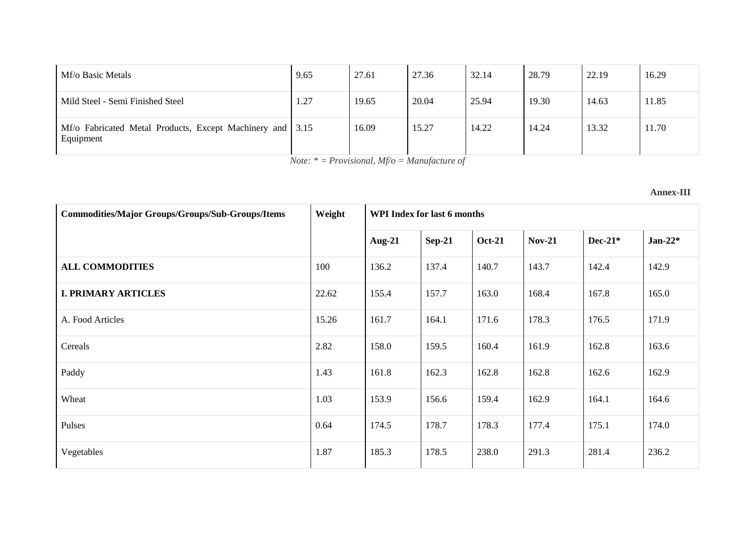| Mf/o Basic Metals                                                      | 9.65 | 27.61 | 27.36 | 32.14 | 28.79 | 22.19 | 16.29 |
|------------------------------------------------------------------------|------|-------|-------|-------|-------|-------|-------|
| Mild Steel - Semi Finished Steel                                       | 1.27 | 19.65 | 20.04 | 25.94 | 19.30 | 14.63 | 11.85 |
| Mf/o Fabricated Metal Products, Except Machinery and 3.15<br>Equipment |      | 16.09 | 15.27 | 14.22 | 14.24 | 13.32 | 11.70 |

*Note: \* = Provisional, Mf/o = Manufacture of*

## **Annex-III**

| <b>Commodities/Major Groups/Groups/Sub-Groups/Items</b> | Weight | WPI Index for last 6 months |               |               |               |           |            |  |  |
|---------------------------------------------------------|--------|-----------------------------|---------------|---------------|---------------|-----------|------------|--|--|
|                                                         |        | Aug- $21$                   | <b>Sep-21</b> | <b>Oct-21</b> | <b>Nov-21</b> | $Dec-21*$ | Jan-22 $*$ |  |  |
| <b>ALL COMMODITIES</b>                                  | 100    | 136.2                       | 137.4         | 140.7         | 143.7         | 142.4     | 142.9      |  |  |
| <b>I. PRIMARY ARTICLES</b>                              | 22.62  | 155.4                       | 157.7         | 163.0         | 168.4         | 167.8     | 165.0      |  |  |
| A. Food Articles                                        | 15.26  | 161.7                       | 164.1         | 171.6         | 178.3         | 176.5     | 171.9      |  |  |
| Cereals                                                 | 2.82   | 158.0                       | 159.5         | 160.4         | 161.9         | 162.8     | 163.6      |  |  |
| Paddy                                                   | 1.43   | 161.8                       | 162.3         | 162.8         | 162.8         | 162.6     | 162.9      |  |  |
| Wheat                                                   | 1.03   | 153.9                       | 156.6         | 159.4         | 162.9         | 164.1     | 164.6      |  |  |
| Pulses                                                  | 0.64   | 174.5                       | 178.7         | 178.3         | 177.4         | 175.1     | 174.0      |  |  |
| Vegetables                                              | 1.87   | 185.3                       | 178.5         | 238.0         | 291.3         | 281.4     | 236.2      |  |  |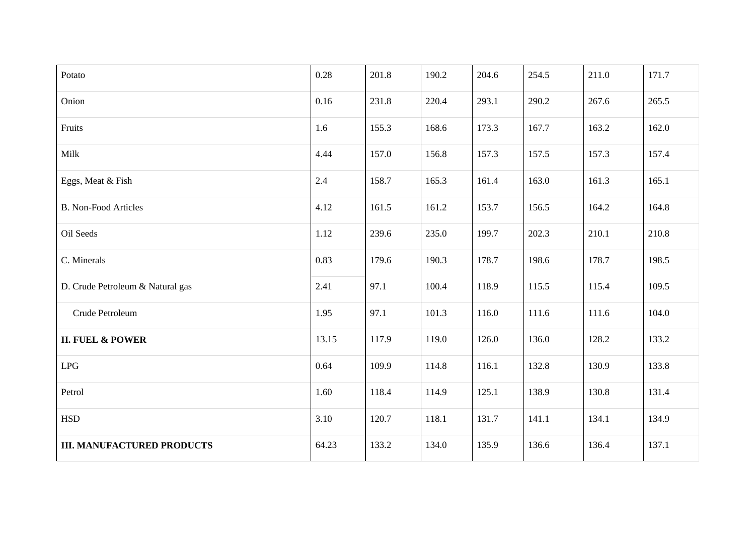| Potato                            | 0.28  | 201.8 | 190.2 | 204.6 | 254.5 | 211.0 | 171.7 |
|-----------------------------------|-------|-------|-------|-------|-------|-------|-------|
| Onion                             | 0.16  | 231.8 | 220.4 | 293.1 | 290.2 | 267.6 | 265.5 |
| Fruits                            | 1.6   | 155.3 | 168.6 | 173.3 | 167.7 | 163.2 | 162.0 |
| Milk                              | 4.44  | 157.0 | 156.8 | 157.3 | 157.5 | 157.3 | 157.4 |
| Eggs, Meat & Fish                 | 2.4   | 158.7 | 165.3 | 161.4 | 163.0 | 161.3 | 165.1 |
| <b>B. Non-Food Articles</b>       | 4.12  | 161.5 | 161.2 | 153.7 | 156.5 | 164.2 | 164.8 |
| Oil Seeds                         | 1.12  | 239.6 | 235.0 | 199.7 | 202.3 | 210.1 | 210.8 |
| C. Minerals                       | 0.83  | 179.6 | 190.3 | 178.7 | 198.6 | 178.7 | 198.5 |
| D. Crude Petroleum & Natural gas  | 2.41  | 97.1  | 100.4 | 118.9 | 115.5 | 115.4 | 109.5 |
| Crude Petroleum                   | 1.95  | 97.1  | 101.3 | 116.0 | 111.6 | 111.6 | 104.0 |
| <b>II. FUEL &amp; POWER</b>       | 13.15 | 117.9 | 119.0 | 126.0 | 136.0 | 128.2 | 133.2 |
| LPG                               | 0.64  | 109.9 | 114.8 | 116.1 | 132.8 | 130.9 | 133.8 |
| Petrol                            | 1.60  | 118.4 | 114.9 | 125.1 | 138.9 | 130.8 | 131.4 |
| <b>HSD</b>                        | 3.10  | 120.7 | 118.1 | 131.7 | 141.1 | 134.1 | 134.9 |
| <b>III. MANUFACTURED PRODUCTS</b> | 64.23 | 133.2 | 134.0 | 135.9 | 136.6 | 136.4 | 137.1 |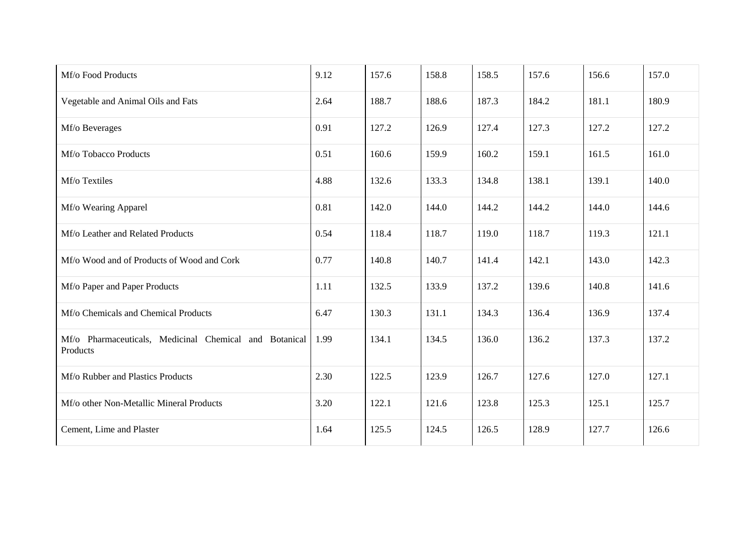| Mf/o Food Products                                                 | 9.12 | 157.6 | 158.8 | 158.5 | 157.6 | 156.6 | 157.0 |
|--------------------------------------------------------------------|------|-------|-------|-------|-------|-------|-------|
| Vegetable and Animal Oils and Fats                                 | 2.64 | 188.7 | 188.6 | 187.3 | 184.2 | 181.1 | 180.9 |
| Mf/o Beverages                                                     | 0.91 | 127.2 | 126.9 | 127.4 | 127.3 | 127.2 | 127.2 |
| Mf/o Tobacco Products                                              | 0.51 | 160.6 | 159.9 | 160.2 | 159.1 | 161.5 | 161.0 |
| Mf/o Textiles                                                      | 4.88 | 132.6 | 133.3 | 134.8 | 138.1 | 139.1 | 140.0 |
| Mf/o Wearing Apparel                                               | 0.81 | 142.0 | 144.0 | 144.2 | 144.2 | 144.0 | 144.6 |
| Mf/o Leather and Related Products                                  | 0.54 | 118.4 | 118.7 | 119.0 | 118.7 | 119.3 | 121.1 |
| Mf/o Wood and of Products of Wood and Cork                         | 0.77 | 140.8 | 140.7 | 141.4 | 142.1 | 143.0 | 142.3 |
| Mf/o Paper and Paper Products                                      | 1.11 | 132.5 | 133.9 | 137.2 | 139.6 | 140.8 | 141.6 |
| Mf/o Chemicals and Chemical Products                               | 6.47 | 130.3 | 131.1 | 134.3 | 136.4 | 136.9 | 137.4 |
| Mf/o Pharmaceuticals, Medicinal Chemical and Botanical<br>Products | 1.99 | 134.1 | 134.5 | 136.0 | 136.2 | 137.3 | 137.2 |
| Mf/o Rubber and Plastics Products                                  | 2.30 | 122.5 | 123.9 | 126.7 | 127.6 | 127.0 | 127.1 |
| Mf/o other Non-Metallic Mineral Products                           | 3.20 | 122.1 | 121.6 | 123.8 | 125.3 | 125.1 | 125.7 |
| Cement, Lime and Plaster                                           | 1.64 | 125.5 | 124.5 | 126.5 | 128.9 | 127.7 | 126.6 |